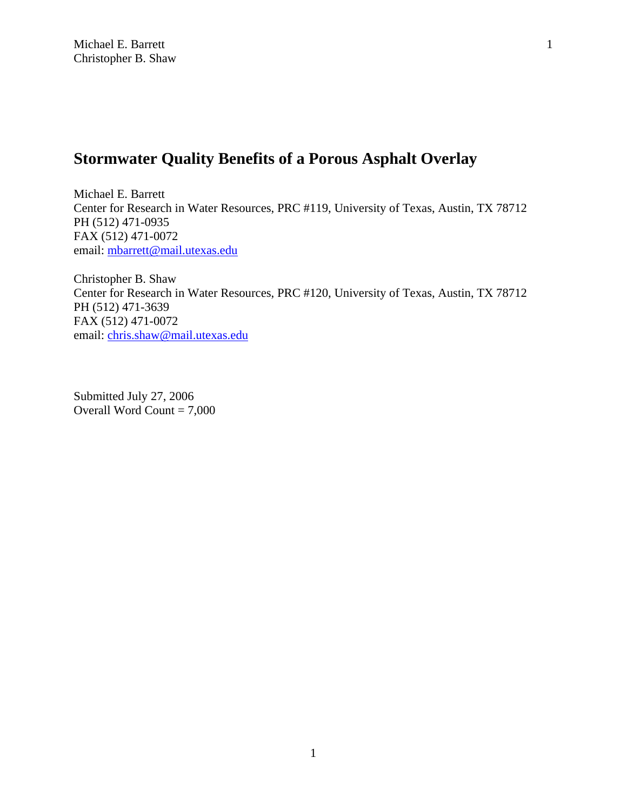## **Stormwater Quality Benefits of a Porous Asphalt Overlay**

Michael E. Barrett Center for Research in Water Resources, PRC #119, University of Texas, Austin, TX 78712 PH (512) 471-0935 FAX (512) 471-0072 email: mbarrett@mail.utexas.edu

Christopher B. Shaw Center for Research in Water Resources, PRC #120, University of Texas, Austin, TX 78712 PH (512) 471-3639 FAX (512) 471-0072 email: chris.shaw@mail.utexas.edu

Submitted July 27, 2006 Overall Word Count  $= 7,000$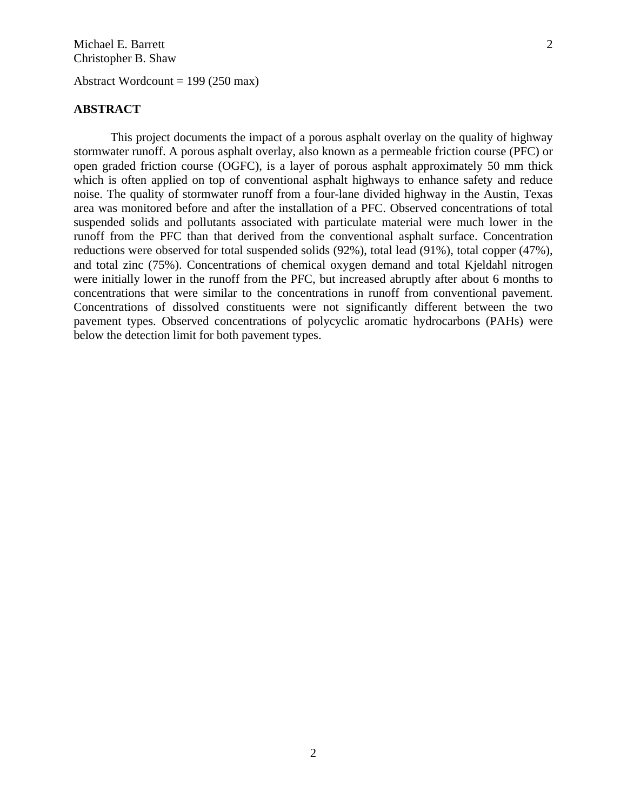Abstract Wordcount  $= 199 (250 \text{ max})$ 

### **ABSTRACT**

This project documents the impact of a porous asphalt overlay on the quality of highway stormwater runoff. A porous asphalt overlay, also known as a permeable friction course (PFC) or open graded friction course (OGFC), is a layer of porous asphalt approximately 50 mm thick which is often applied on top of conventional asphalt highways to enhance safety and reduce noise. The quality of stormwater runoff from a four-lane divided highway in the Austin, Texas area was monitored before and after the installation of a PFC. Observed concentrations of total suspended solids and pollutants associated with particulate material were much lower in the runoff from the PFC than that derived from the conventional asphalt surface. Concentration reductions were observed for total suspended solids (92%), total lead (91%), total copper (47%), and total zinc (75%). Concentrations of chemical oxygen demand and total Kjeldahl nitrogen were initially lower in the runoff from the PFC, but increased abruptly after about 6 months to concentrations that were similar to the concentrations in runoff from conventional pavement. Concentrations of dissolved constituents were not significantly different between the two pavement types. Observed concentrations of polycyclic aromatic hydrocarbons (PAHs) were below the detection limit for both pavement types.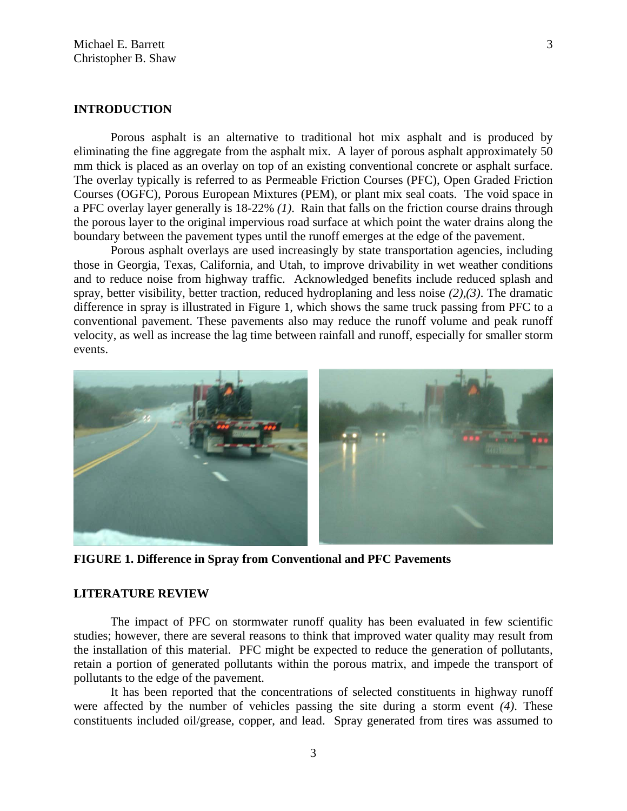### **INTRODUCTION**

Porous asphalt is an alternative to traditional hot mix asphalt and is produced by eliminating the fine aggregate from the asphalt mix. A layer of porous asphalt approximately 50 mm thick is placed as an overlay on top of an existing conventional concrete or asphalt surface. The overlay typically is referred to as Permeable Friction Courses (PFC), Open Graded Friction Courses (OGFC), Porous European Mixtures (PEM), or plant mix seal coats. The void space in a PFC overlay layer generally is 18-22% *(1)*. Rain that falls on the friction course drains through the porous layer to the original impervious road surface at which point the water drains along the boundary between the pavement types until the runoff emerges at the edge of the pavement.

Porous asphalt overlays are used increasingly by state transportation agencies, including those in Georgia, Texas, California, and Utah, to improve drivability in wet weather conditions and to reduce noise from highway traffic. Acknowledged benefits include reduced splash and spray, better visibility, better traction, reduced hydroplaning and less noise *(2),(3)*. The dramatic difference in spray is illustrated in Figure 1, which shows the same truck passing from PFC to a conventional pavement. These pavements also may reduce the runoff volume and peak runoff velocity, as well as increase the lag time between rainfall and runoff, especially for smaller storm events.



**FIGURE 1. Difference in Spray from Conventional and PFC Pavements** 

### **LITERATURE REVIEW**

The impact of PFC on stormwater runoff quality has been evaluated in few scientific studies; however, there are several reasons to think that improved water quality may result from the installation of this material. PFC might be expected to reduce the generation of pollutants, retain a portion of generated pollutants within the porous matrix, and impede the transport of pollutants to the edge of the pavement.

 It has been reported that the concentrations of selected constituents in highway runoff were affected by the number of vehicles passing the site during a storm event *(4)*. These constituents included oil/grease, copper, and lead. Spray generated from tires was assumed to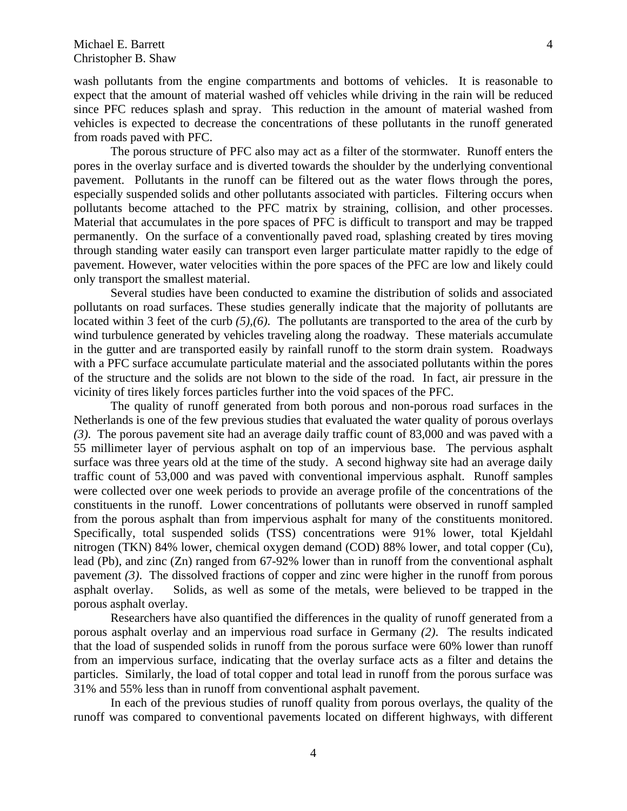wash pollutants from the engine compartments and bottoms of vehicles. It is reasonable to expect that the amount of material washed off vehicles while driving in the rain will be reduced since PFC reduces splash and spray. This reduction in the amount of material washed from vehicles is expected to decrease the concentrations of these pollutants in the runoff generated from roads paved with PFC.

4

The porous structure of PFC also may act as a filter of the stormwater. Runoff enters the pores in the overlay surface and is diverted towards the shoulder by the underlying conventional pavement. Pollutants in the runoff can be filtered out as the water flows through the pores, especially suspended solids and other pollutants associated with particles. Filtering occurs when pollutants become attached to the PFC matrix by straining, collision, and other processes. Material that accumulates in the pore spaces of PFC is difficult to transport and may be trapped permanently. On the surface of a conventionally paved road, splashing created by tires moving through standing water easily can transport even larger particulate matter rapidly to the edge of pavement. However, water velocities within the pore spaces of the PFC are low and likely could only transport the smallest material.

Several studies have been conducted to examine the distribution of solids and associated pollutants on road surfaces. These studies generally indicate that the majority of pollutants are located within 3 feet of the curb *(5),(6)*. The pollutants are transported to the area of the curb by wind turbulence generated by vehicles traveling along the roadway. These materials accumulate in the gutter and are transported easily by rainfall runoff to the storm drain system. Roadways with a PFC surface accumulate particulate material and the associated pollutants within the pores of the structure and the solids are not blown to the side of the road. In fact, air pressure in the vicinity of tires likely forces particles further into the void spaces of the PFC.

 The quality of runoff generated from both porous and non-porous road surfaces in the Netherlands is one of the few previous studies that evaluated the water quality of porous overlays *(3)*. The porous pavement site had an average daily traffic count of 83,000 and was paved with a 55 millimeter layer of pervious asphalt on top of an impervious base. The pervious asphalt surface was three years old at the time of the study. A second highway site had an average daily traffic count of 53,000 and was paved with conventional impervious asphalt. Runoff samples were collected over one week periods to provide an average profile of the concentrations of the constituents in the runoff. Lower concentrations of pollutants were observed in runoff sampled from the porous asphalt than from impervious asphalt for many of the constituents monitored. Specifically, total suspended solids (TSS) concentrations were 91% lower, total Kjeldahl nitrogen (TKN) 84% lower, chemical oxygen demand (COD) 88% lower, and total copper (Cu), lead (Pb), and zinc (Zn) ranged from 67-92% lower than in runoff from the conventional asphalt pavement *(3)*. The dissolved fractions of copper and zinc were higher in the runoff from porous asphalt overlay. Solids, as well as some of the metals, were believed to be trapped in the porous asphalt overlay.

 Researchers have also quantified the differences in the quality of runoff generated from a porous asphalt overlay and an impervious road surface in Germany *(2)*. The results indicated that the load of suspended solids in runoff from the porous surface were 60% lower than runoff from an impervious surface, indicating that the overlay surface acts as a filter and detains the particles. Similarly, the load of total copper and total lead in runoff from the porous surface was 31% and 55% less than in runoff from conventional asphalt pavement.

 In each of the previous studies of runoff quality from porous overlays, the quality of the runoff was compared to conventional pavements located on different highways, with different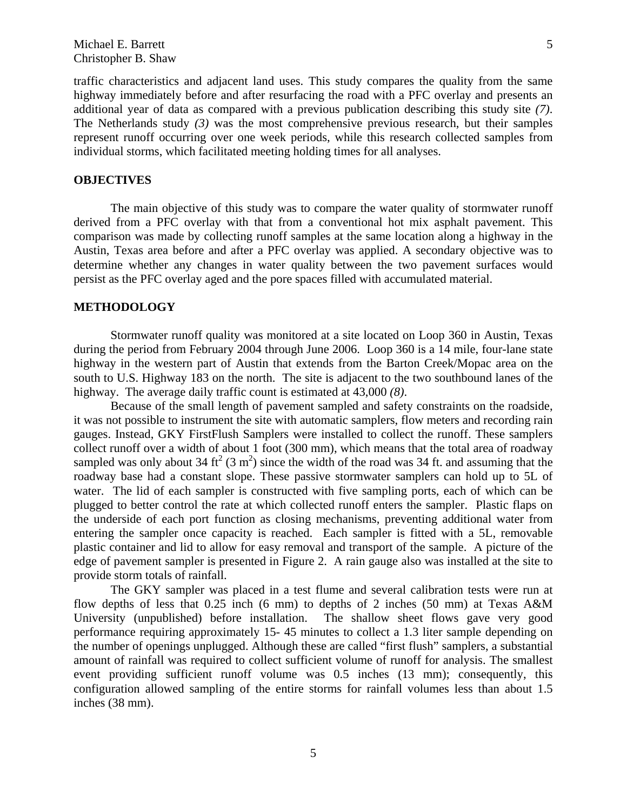traffic characteristics and adjacent land uses. This study compares the quality from the same highway immediately before and after resurfacing the road with a PFC overlay and presents an additional year of data as compared with a previous publication describing this study site *(7)*. The Netherlands study *(3)* was the most comprehensive previous research, but their samples represent runoff occurring over one week periods, while this research collected samples from individual storms, which facilitated meeting holding times for all analyses.

### **OBJECTIVES**

The main objective of this study was to compare the water quality of stormwater runoff derived from a PFC overlay with that from a conventional hot mix asphalt pavement. This comparison was made by collecting runoff samples at the same location along a highway in the Austin, Texas area before and after a PFC overlay was applied. A secondary objective was to determine whether any changes in water quality between the two pavement surfaces would persist as the PFC overlay aged and the pore spaces filled with accumulated material.

### **METHODOLOGY**

Stormwater runoff quality was monitored at a site located on Loop 360 in Austin, Texas during the period from February 2004 through June 2006. Loop 360 is a 14 mile, four-lane state highway in the western part of Austin that extends from the Barton Creek/Mopac area on the south to U.S. Highway 183 on the north. The site is adjacent to the two southbound lanes of the highway. The average daily traffic count is estimated at 43,000 *(8)*.

 Because of the small length of pavement sampled and safety constraints on the roadside, it was not possible to instrument the site with automatic samplers, flow meters and recording rain gauges. Instead, GKY FirstFlush Samplers were installed to collect the runoff. These samplers collect runoff over a width of about 1 foot (300 mm), which means that the total area of roadway sampled was only about 34 ft<sup>2</sup> (3 m<sup>2</sup>) since the width of the road was 34 ft. and assuming that the roadway base had a constant slope. These passive stormwater samplers can hold up to 5L of water. The lid of each sampler is constructed with five sampling ports, each of which can be plugged to better control the rate at which collected runoff enters the sampler. Plastic flaps on the underside of each port function as closing mechanisms, preventing additional water from entering the sampler once capacity is reached. Each sampler is fitted with a 5L, removable plastic container and lid to allow for easy removal and transport of the sample. A picture of the edge of pavement sampler is presented in Figure 2. A rain gauge also was installed at the site to provide storm totals of rainfall.

The GKY sampler was placed in a test flume and several calibration tests were run at flow depths of less that 0.25 inch (6 mm) to depths of 2 inches (50 mm) at Texas A&M University (unpublished) before installation. The shallow sheet flows gave very good performance requiring approximately 15- 45 minutes to collect a 1.3 liter sample depending on the number of openings unplugged. Although these are called "first flush" samplers, a substantial amount of rainfall was required to collect sufficient volume of runoff for analysis. The smallest event providing sufficient runoff volume was 0.5 inches (13 mm); consequently, this configuration allowed sampling of the entire storms for rainfall volumes less than about 1.5 inches (38 mm).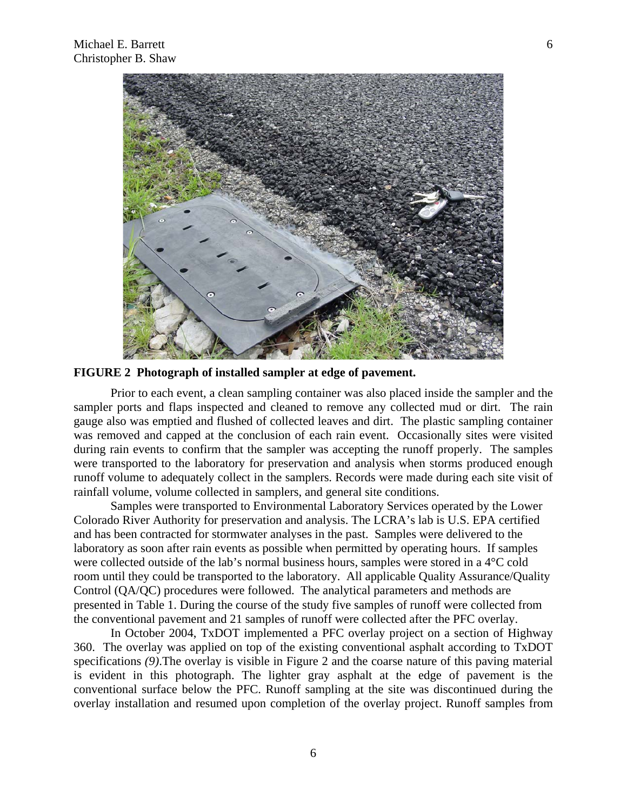

**FIGURE 2 Photograph of installed sampler at edge of pavement.**

Prior to each event, a clean sampling container was also placed inside the sampler and the sampler ports and flaps inspected and cleaned to remove any collected mud or dirt. The rain gauge also was emptied and flushed of collected leaves and dirt. The plastic sampling container was removed and capped at the conclusion of each rain event. Occasionally sites were visited during rain events to confirm that the sampler was accepting the runoff properly. The samples were transported to the laboratory for preservation and analysis when storms produced enough runoff volume to adequately collect in the samplers. Records were made during each site visit of rainfall volume, volume collected in samplers, and general site conditions.

Samples were transported to Environmental Laboratory Services operated by the Lower Colorado River Authority for preservation and analysis. The LCRA's lab is U.S. EPA certified and has been contracted for stormwater analyses in the past. Samples were delivered to the laboratory as soon after rain events as possible when permitted by operating hours. If samples were collected outside of the lab's normal business hours, samples were stored in a 4°C cold room until they could be transported to the laboratory. All applicable Quality Assurance/Quality Control (QA/QC) procedures were followed. The analytical parameters and methods are presented in Table 1. During the course of the study five samples of runoff were collected from the conventional pavement and 21 samples of runoff were collected after the PFC overlay.

In October 2004, TxDOT implemented a PFC overlay project on a section of Highway 360. The overlay was applied on top of the existing conventional asphalt according to TxDOT specifications *(9)*.The overlay is visible in Figure 2 and the coarse nature of this paving material is evident in this photograph. The lighter gray asphalt at the edge of pavement is the conventional surface below the PFC. Runoff sampling at the site was discontinued during the overlay installation and resumed upon completion of the overlay project. Runoff samples from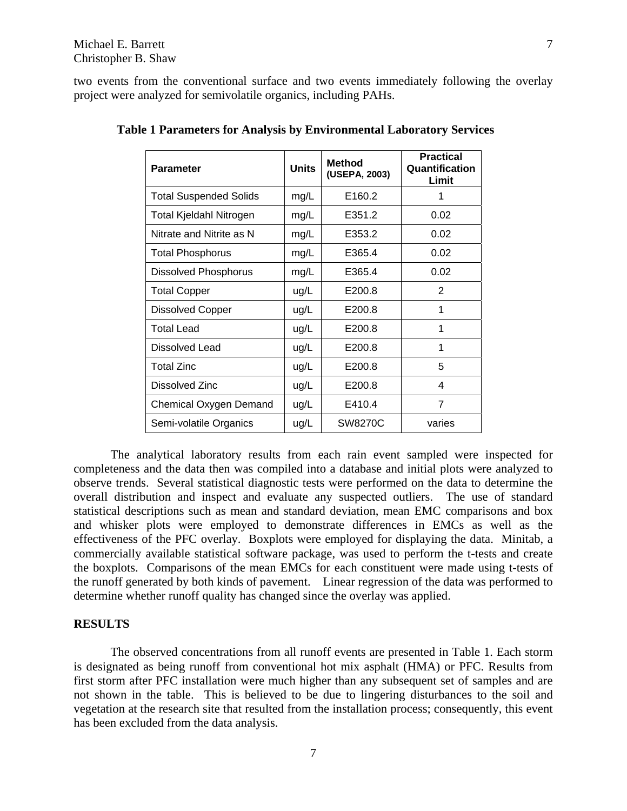two events from the conventional surface and two events immediately following the overlay project were analyzed for semivolatile organics, including PAHs.

| <b>Parameter</b>              | <b>Units</b> | <b>Method</b><br>(USEPA, 2003) | <b>Practical</b><br>Quantification<br>Limit |  |
|-------------------------------|--------------|--------------------------------|---------------------------------------------|--|
| <b>Total Suspended Solids</b> | mg/L         | E <sub>160.2</sub>             | 1                                           |  |
| Total Kjeldahl Nitrogen       | mg/L         | E351.2                         | 0.02                                        |  |
| Nitrate and Nitrite as N      | mg/L         | E353.2                         | 0.02                                        |  |
| <b>Total Phosphorus</b>       | mg/L         | E365.4                         | 0.02                                        |  |
| <b>Dissolved Phosphorus</b>   | mg/L         | E365.4                         | 0.02                                        |  |
| <b>Total Copper</b>           | ug/L         | E200.8                         | $\overline{2}$                              |  |
| <b>Dissolved Copper</b>       | ug/L         | E200.8                         | 1                                           |  |
| <b>Total Lead</b>             | ug/L         | E200.8                         | 1                                           |  |
| Dissolved Lead                | ug/L         | E200.8                         | 1                                           |  |
| <b>Total Zinc</b>             | ug/L         | E200.8                         | 5                                           |  |
| Dissolved Zinc                | ug/L         | E200.8                         | 4                                           |  |
| Chemical Oxygen Demand        | ug/L         | E410.4                         | $\overline{7}$                              |  |
| Semi-volatile Organics        | ug/L         | SW8270C                        | varies                                      |  |

 **Table 1 Parameters for Analysis by Environmental Laboratory Services** 

The analytical laboratory results from each rain event sampled were inspected for completeness and the data then was compiled into a database and initial plots were analyzed to observe trends. Several statistical diagnostic tests were performed on the data to determine the overall distribution and inspect and evaluate any suspected outliers. The use of standard statistical descriptions such as mean and standard deviation, mean EMC comparisons and box and whisker plots were employed to demonstrate differences in EMCs as well as the effectiveness of the PFC overlay.Boxplots were employed for displaying the data. Minitab, a commercially available statistical software package, was used to perform the t-tests and create the boxplots. Comparisons of the mean EMCs for each constituent were made using t-tests of the runoff generated by both kinds of pavement. Linear regression of the data was performed to determine whether runoff quality has changed since the overlay was applied.

### **RESULTS**

The observed concentrations from all runoff events are presented in Table 1. Each storm is designated as being runoff from conventional hot mix asphalt (HMA) or PFC. Results from first storm after PFC installation were much higher than any subsequent set of samples and are not shown in the table. This is believed to be due to lingering disturbances to the soil and vegetation at the research site that resulted from the installation process; consequently, this event has been excluded from the data analysis.

7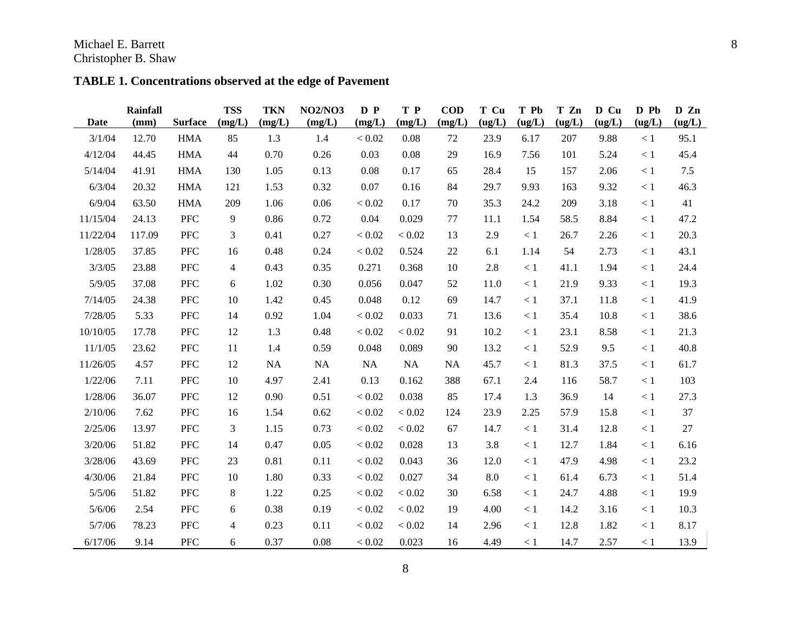# **TABLE 1. Concentrations observed at the edge of Pavement**

| <b>Date</b> | <b>Rainfall</b><br>(mm) | <b>Surface</b> | <b>TSS</b><br>(mg/L) | <b>TKN</b><br>(mg/L) | <b>NO2/NO3</b><br>(mg/L) | D P<br>(mg/L) | T P<br>(mg/L) | $\mathbf{COD}$<br>(mg/L) | T Cu<br>(ug/L) | T Pb<br>(ug/L) | T Zn<br>(ug/L) | D Cu<br>(ug/L) | D Pb<br>(ug/L) | D Zn<br>(ug/L) |
|-------------|-------------------------|----------------|----------------------|----------------------|--------------------------|---------------|---------------|--------------------------|----------------|----------------|----------------|----------------|----------------|----------------|
| 3/1/04      | 12.70                   | <b>HMA</b>     | 85                   | 1.3                  | 1.4                      | < 0.02        | 0.08          | 72                       | 23.9           | 6.17           | 207            | 9.88           | $<1\,$         | 95.1           |
| 4/12/04     | 44.45                   | <b>HMA</b>     | 44                   | 0.70                 | 0.26                     | 0.03          | 0.08          | 29                       | 16.9           | 7.56           | 101            | 5.24           | $<1\,$         | 45.4           |
| 5/14/04     | 41.91                   | <b>HMA</b>     | 130                  | 1.05                 | 0.13                     | 0.08          | 0.17          | 65                       | 28.4           | 15             | 157            | 2.06           | $<1\,$         | 7.5            |
| 6/3/04      | 20.32                   | <b>HMA</b>     | 121                  | 1.53                 | 0.32                     | 0.07          | 0.16          | 84                       | 29.7           | 9.93           | 163            | 9.32           | < 1            | 46.3           |
| 6/9/04      | 63.50                   | <b>HMA</b>     | 209                  | 1.06                 | 0.06                     | < 0.02        | 0.17          | 70                       | 35.3           | 24.2           | 209            | 3.18           | < 1            | 41             |
| 11/15/04    | 24.13                   | <b>PFC</b>     | 9                    | 0.86                 | 0.72                     | 0.04          | 0.029         | 77                       | 11.1           | 1.54           | 58.5           | 8.84           | $<1\,$         | 47.2           |
| 11/22/04    | 117.09                  | <b>PFC</b>     | 3                    | 0.41                 | 0.27                     | < 0.02        | < 0.02        | 13                       | 2.9            | $<1\,$         | 26.7           | 2.26           | $<1\,$         | 20.3           |
| 1/28/05     | 37.85                   | PFC            | 16                   | 0.48                 | 0.24                     | < 0.02        | 0.524         | 22                       | 6.1            | 1.14           | 54             | 2.73           | $<1\,$         | 43.1           |
| 3/3/05      | 23.88                   | PFC            | 4                    | 0.43                 | 0.35                     | 0.271         | 0.368         | 10                       | 2.8            | < 1            | 41.1           | 1.94           | $<1\,$         | 24.4           |
| 5/9/05      | 37.08                   | <b>PFC</b>     | 6                    | 1.02                 | 0.30                     | 0.056         | 0.047         | 52                       | 11.0           | < 1            | 21.9           | 9.33           | $<1\,$         | 19.3           |
| 7/14/05     | 24.38                   | <b>PFC</b>     | 10                   | 1.42                 | 0.45                     | 0.048         | 0.12          | 69                       | 14.7           | < 1            | 37.1           | 11.8           | < 1            | 41.9           |
| 7/28/05     | 5.33                    | <b>PFC</b>     | 14                   | 0.92                 | 1.04                     | < 0.02        | 0.033         | 71                       | 13.6           | < 1            | 35.4           | 10.8           | $<1\,$         | 38.6           |
| 10/10/05    | 17.78                   | <b>PFC</b>     | 12                   | 1.3                  | 0.48                     | < 0.02        | < 0.02        | 91                       | 10.2           | < 1            | 23.1           | 8.58           | $<1\,$         | 21.3           |
| 11/1/05     | 23.62                   | PFC            | 11                   | 1.4                  | 0.59                     | 0.048         | 0.089         | 90                       | 13.2           | < 1            | 52.9           | 9.5            | $<1\,$         | 40.8           |
| 11/26/05    | 4.57                    | ${\rm PFC}$    | 12                   | NA                   | <b>NA</b>                | <b>NA</b>     | NA            | NA                       | 45.7           | $<1\,$         | 81.3           | 37.5           | $<1\,$         | 61.7           |
| 1/22/06     | 7.11                    | <b>PFC</b>     | 10                   | 4.97                 | 2.41                     | 0.13          | 0.162         | 388                      | 67.1           | 2.4            | 116            | 58.7           | $<1\,$         | 103            |
| 1/28/06     | 36.07                   | <b>PFC</b>     | 12                   | 0.90                 | 0.51                     | < 0.02        | 0.038         | 85                       | 17.4           | 1.3            | 36.9           | 14             | $<1\,$         | 27.3           |
| 2/10/06     | 7.62                    | <b>PFC</b>     | 16                   | 1.54                 | 0.62                     | < 0.02        | < 0.02        | 124                      | 23.9           | 2.25           | 57.9           | 15.8           | < 1            | 37             |
| 2/25/06     | 13.97                   | <b>PFC</b>     | 3                    | 1.15                 | 0.73                     | < 0.02        | < 0.02        | 67                       | 14.7           | < 1            | 31.4           | 12.8           | < 1            | 27             |
| 3/20/06     | 51.82                   | PFC            | 14                   | 0.47                 | 0.05                     | < 0.02        | 0.028         | 13                       | 3.8            | $<1\,$         | 12.7           | 1.84           | $<1\,$         | 6.16           |
| 3/28/06     | 43.69                   | <b>PFC</b>     | 23                   | 0.81                 | 0.11                     | $< 0.02$      | 0.043         | 36                       | 12.0           | < 1            | 47.9           | 4.98           | $<1\,$         | 23.2           |
| 4/30/06     | 21.84                   | <b>PFC</b>     | 10                   | 1.80                 | 0.33                     | < 0.02        | 0.027         | 34                       | 8.0            | < 1            | 61.4           | 6.73           | $<1\,$         | 51.4           |
| 5/5/06      | 51.82                   | <b>PFC</b>     | 8                    | 1.22                 | 0.25                     | < 0.02        | < 0.02        | 30                       | 6.58           | < 1            | 24.7           | 4.88           | < 1            | 19.9           |
| 5/6/06      | 2.54                    | <b>PFC</b>     | 6                    | 0.38                 | 0.19                     | < 0.02        | < 0.02        | 19                       | 4.00           | < 1            | 14.2           | 3.16           | < 1            | 10.3           |
| 5/7/06      | 78.23                   | <b>PFC</b>     | 4                    | 0.23                 | 0.11                     | < 0.02        | < 0.02        | 14                       | 2.96           | < 1            | 12.8           | 1.82           | $<1\,$         | 8.17           |
| 6/17/06     | 9.14                    | PFC            | 6                    | 0.37                 | 0.08                     | < 0.02        | 0.023         | 16                       | 4.49           | < 1            | 14.7           | 2.57           | $<1\,$         | 13.9           |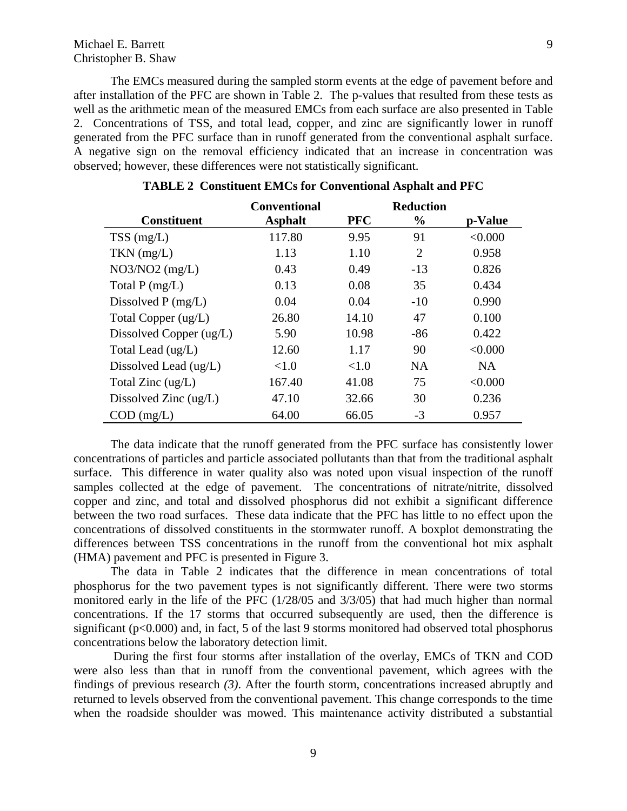The EMCs measured during the sampled storm events at the edge of pavement before and after installation of the PFC are shown in Table 2. The p-values that resulted from these tests as well as the arithmetic mean of the measured EMCs from each surface are also presented in Table 2. Concentrations of TSS, and total lead, copper, and zinc are significantly lower in runoff generated from the PFC surface than in runoff generated from the conventional asphalt surface. A negative sign on the removal efficiency indicated that an increase in concentration was observed; however, these differences were not statistically significant.

|                         | <b>Conventional</b> |            | <b>Reduction</b> |           |
|-------------------------|---------------------|------------|------------------|-----------|
| <b>Constituent</b>      | <b>Asphalt</b>      | <b>PFC</b> | $\frac{6}{6}$    | p-Value   |
| $TSS$ (mg/L)            | 117.80              | 9.95       | 91               | < 0.000   |
| $TKN$ (mg/L)            | 1.13                | 1.10       | $\overline{2}$   | 0.958     |
| $NO3/NO2$ (mg/L)        | 0.43                | 0.49       | $-13$            | 0.826     |
| Total $P$ (mg/L)        | 0.13                | 0.08       | 35               | 0.434     |
| Dissolved $P$ (mg/L)    | 0.04                | 0.04       | $-10$            | 0.990     |
| Total Copper (ug/L)     | 26.80               | 14.10      | 47               | 0.100     |
| Dissolved Copper (ug/L) | 5.90                | 10.98      | $-86$            | 0.422     |
| Total Lead $(ug/L)$     | 12.60               | 1.17       | 90               | < 0.000   |
| Dissolved Lead (ug/L)   | < 1.0               | <1.0       | <b>NA</b>        | <b>NA</b> |
| Total Zinc $(ug/L)$     | 167.40              | 41.08      | 75               | < 0.000   |
| Dissolved Zinc $(ug/L)$ | 47.10               | 32.66      | 30               | 0.236     |
| $COD$ (mg/L)            | 64.00               | 66.05      | $-3$             | 0.957     |

### **TABLE 2 Constituent EMCs for Conventional Asphalt and PFC**

The data indicate that the runoff generated from the PFC surface has consistently lower concentrations of particles and particle associated pollutants than that from the traditional asphalt surface. This difference in water quality also was noted upon visual inspection of the runoff samples collected at the edge of pavement. The concentrations of nitrate/nitrite, dissolved copper and zinc, and total and dissolved phosphorus did not exhibit a significant difference between the two road surfaces. These data indicate that the PFC has little to no effect upon the concentrations of dissolved constituents in the stormwater runoff. A boxplot demonstrating the differences between TSS concentrations in the runoff from the conventional hot mix asphalt (HMA) pavement and PFC is presented in Figure 3.

The data in Table 2 indicates that the difference in mean concentrations of total phosphorus for the two pavement types is not significantly different. There were two storms monitored early in the life of the PFC (1/28/05 and 3/3/05) that had much higher than normal concentrations. If the 17 storms that occurred subsequently are used, then the difference is significant ( $p<0.000$ ) and, in fact, 5 of the last 9 storms monitored had observed total phosphorus concentrations below the laboratory detection limit.

 During the first four storms after installation of the overlay, EMCs of TKN and COD were also less than that in runoff from the conventional pavement, which agrees with the findings of previous research *(3)*. After the fourth storm, concentrations increased abruptly and returned to levels observed from the conventional pavement. This change corresponds to the time when the roadside shoulder was mowed. This maintenance activity distributed a substantial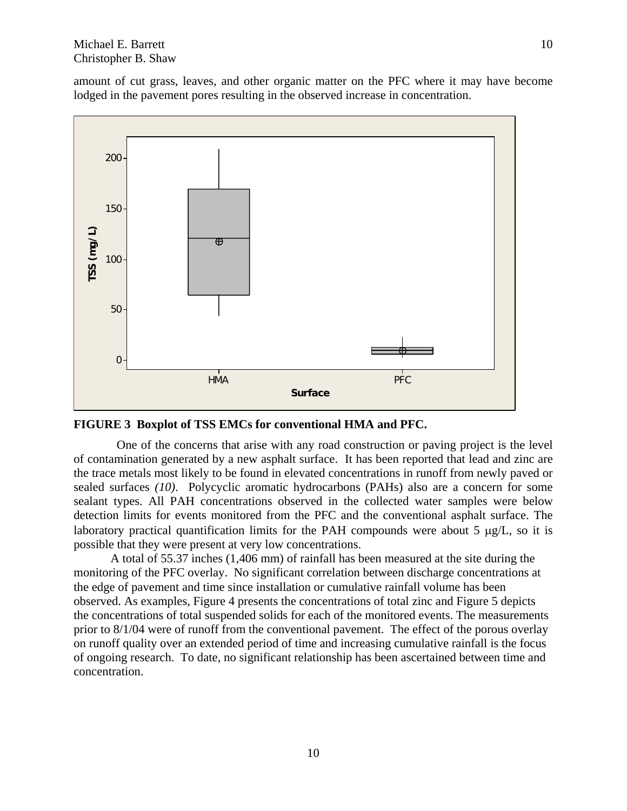amount of cut grass, leaves, and other organic matter on the PFC where it may have become lodged in the pavement pores resulting in the observed increase in concentration.





 One of the concerns that arise with any road construction or paving project is the level of contamination generated by a new asphalt surface. It has been reported that lead and zinc are the trace metals most likely to be found in elevated concentrations in runoff from newly paved or sealed surfaces *(10)*. Polycyclic aromatic hydrocarbons (PAHs) also are a concern for some sealant types. All PAH concentrations observed in the collected water samples were below detection limits for events monitored from the PFC and the conventional asphalt surface. The laboratory practical quantification limits for the PAH compounds were about 5 μg/L, so it is possible that they were present at very low concentrations.

A total of 55.37 inches (1,406 mm) of rainfall has been measured at the site during the monitoring of the PFC overlay. No significant correlation between discharge concentrations at the edge of pavement and time since installation or cumulative rainfall volume has been observed. As examples, Figure 4 presents the concentrations of total zinc and Figure 5 depicts the concentrations of total suspended solids for each of the monitored events. The measurements prior to 8/1/04 were of runoff from the conventional pavement. The effect of the porous overlay on runoff quality over an extended period of time and increasing cumulative rainfall is the focus of ongoing research. To date, no significant relationship has been ascertained between time and concentration.

10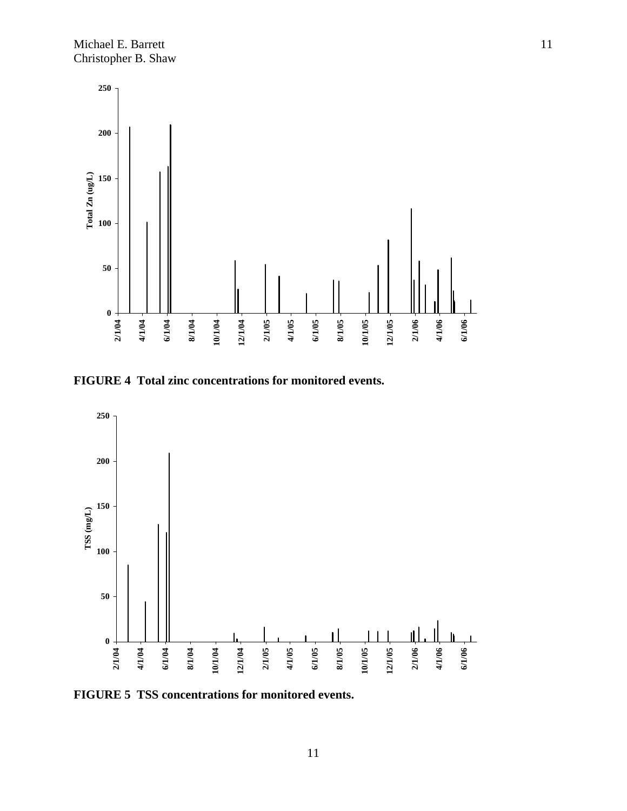

**FIGURE 4 Total zinc concentrations for monitored events.**



**FIGURE 5 TSS concentrations for monitored events.**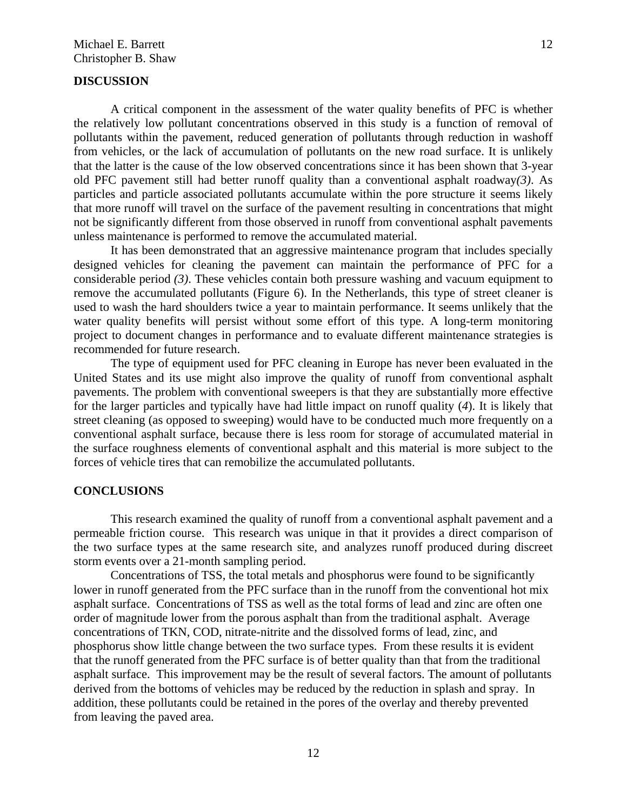## **DISCUSSION**

A critical component in the assessment of the water quality benefits of PFC is whether the relatively low pollutant concentrations observed in this study is a function of removal of pollutants within the pavement, reduced generation of pollutants through reduction in washoff from vehicles, or the lack of accumulation of pollutants on the new road surface. It is unlikely that the latter is the cause of the low observed concentrations since it has been shown that 3-year old PFC pavement still had better runoff quality than a conventional asphalt roadway*(3)*. As particles and particle associated pollutants accumulate within the pore structure it seems likely that more runoff will travel on the surface of the pavement resulting in concentrations that might not be significantly different from those observed in runoff from conventional asphalt pavements unless maintenance is performed to remove the accumulated material.

It has been demonstrated that an aggressive maintenance program that includes specially designed vehicles for cleaning the pavement can maintain the performance of PFC for a considerable period *(3)*. These vehicles contain both pressure washing and vacuum equipment to remove the accumulated pollutants (Figure 6). In the Netherlands, this type of street cleaner is used to wash the hard shoulders twice a year to maintain performance. It seems unlikely that the water quality benefits will persist without some effort of this type. A long-term monitoring project to document changes in performance and to evaluate different maintenance strategies is recommended for future research.

The type of equipment used for PFC cleaning in Europe has never been evaluated in the United States and its use might also improve the quality of runoff from conventional asphalt pavements. The problem with conventional sweepers is that they are substantially more effective for the larger particles and typically have had little impact on runoff quality (*4*). It is likely that street cleaning (as opposed to sweeping) would have to be conducted much more frequently on a conventional asphalt surface, because there is less room for storage of accumulated material in the surface roughness elements of conventional asphalt and this material is more subject to the forces of vehicle tires that can remobilize the accumulated pollutants.

## **CONCLUSIONS**

This research examined the quality of runoff from a conventional asphalt pavement and a permeable friction course. This research was unique in that it provides a direct comparison of the two surface types at the same research site, and analyzes runoff produced during discreet storm events over a 21-month sampling period.

Concentrations of TSS, the total metals and phosphorus were found to be significantly lower in runoff generated from the PFC surface than in the runoff from the conventional hot mix asphalt surface. Concentrations of TSS as well as the total forms of lead and zinc are often one order of magnitude lower from the porous asphalt than from the traditional asphalt. Average concentrations of TKN, COD, nitrate-nitrite and the dissolved forms of lead, zinc, and phosphorus show little change between the two surface types. From these results it is evident that the runoff generated from the PFC surface is of better quality than that from the traditional asphalt surface. This improvement may be the result of several factors. The amount of pollutants derived from the bottoms of vehicles may be reduced by the reduction in splash and spray. In addition, these pollutants could be retained in the pores of the overlay and thereby prevented from leaving the paved area.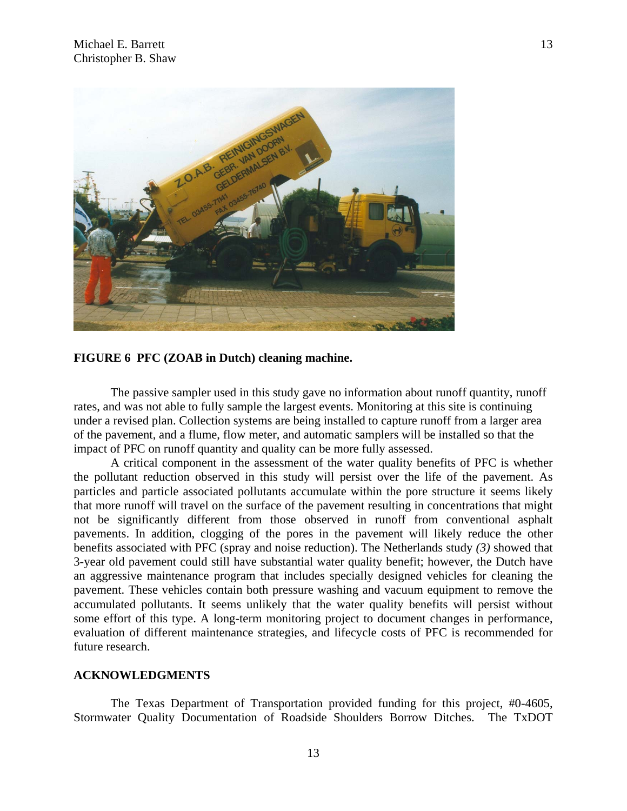

### **FIGURE 6 PFC (ZOAB in Dutch) cleaning machine.**

The passive sampler used in this study gave no information about runoff quantity, runoff rates, and was not able to fully sample the largest events. Monitoring at this site is continuing under a revised plan. Collection systems are being installed to capture runoff from a larger area of the pavement, and a flume, flow meter, and automatic samplers will be installed so that the impact of PFC on runoff quantity and quality can be more fully assessed.

A critical component in the assessment of the water quality benefits of PFC is whether the pollutant reduction observed in this study will persist over the life of the pavement. As particles and particle associated pollutants accumulate within the pore structure it seems likely that more runoff will travel on the surface of the pavement resulting in concentrations that might not be significantly different from those observed in runoff from conventional asphalt pavements. In addition, clogging of the pores in the pavement will likely reduce the other benefits associated with PFC (spray and noise reduction). The Netherlands study *(3)* showed that 3-year old pavement could still have substantial water quality benefit; however, the Dutch have an aggressive maintenance program that includes specially designed vehicles for cleaning the pavement. These vehicles contain both pressure washing and vacuum equipment to remove the accumulated pollutants. It seems unlikely that the water quality benefits will persist without some effort of this type. A long-term monitoring project to document changes in performance, evaluation of different maintenance strategies, and lifecycle costs of PFC is recommended for future research.

#### **ACKNOWLEDGMENTS**

The Texas Department of Transportation provided funding for this project, #0-4605, Stormwater Quality Documentation of Roadside Shoulders Borrow Ditches. The TxDOT

13